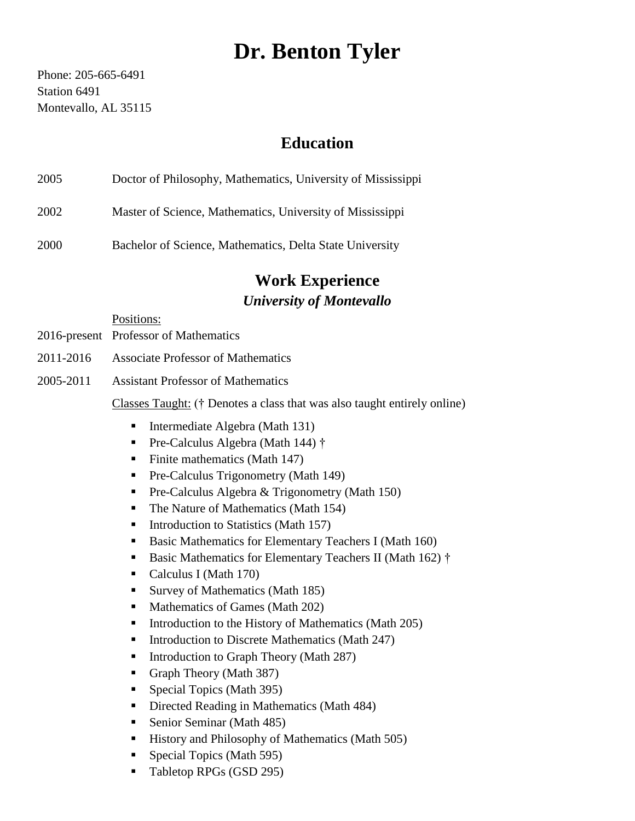# **Dr. Benton Tyler**

Phone: 205-665-6491 Station 6491 Montevallo, AL 35115

### **Education**

| 2005 | Doctor of Philosophy, Mathematics, University of Mississippi |
|------|--------------------------------------------------------------|
| 2002 | Master of Science, Mathematics, University of Mississippi    |

2000 Bachelor of Science, Mathematics, Delta State University

## **Work Experience** *University of Montevallo*

Positions:

- 2016-present Professor of Mathematics
- 2011-2016 Associate Professor of Mathematics
- 2005-2011 Assistant Professor of Mathematics

Classes Taught: († Denotes a class that was also taught entirely online)

- Intermediate Algebra (Math 131)
- Pre-Calculus Algebra (Math 144) †
- $\blacksquare$  Finite mathematics (Math 147)
- **•** Pre-Calculus Trigonometry (Math 149)
- **•** Pre-Calculus Algebra & Trigonometry (Math 150)
- The Nature of Mathematics (Math 154)
- Introduction to Statistics (Math 157)
- Basic Mathematics for Elementary Teachers I (Math 160)
- Basic Mathematics for Elementary Teachers II (Math 162) †
- Calculus I (Math 170)
- Survey of Mathematics (Math 185)
- Mathematics of Games (Math 202)
- Introduction to the History of Mathematics (Math 205)
- Introduction to Discrete Mathematics (Math 247)
- Introduction to Graph Theory (Math 287)
- Graph Theory (Math 387)
- Special Topics (Math 395)
- Directed Reading in Mathematics (Math 484)
- Senior Seminar (Math 485)
- History and Philosophy of Mathematics (Math 505)
- Special Topics (Math 595)
- Tabletop RPGs (GSD 295)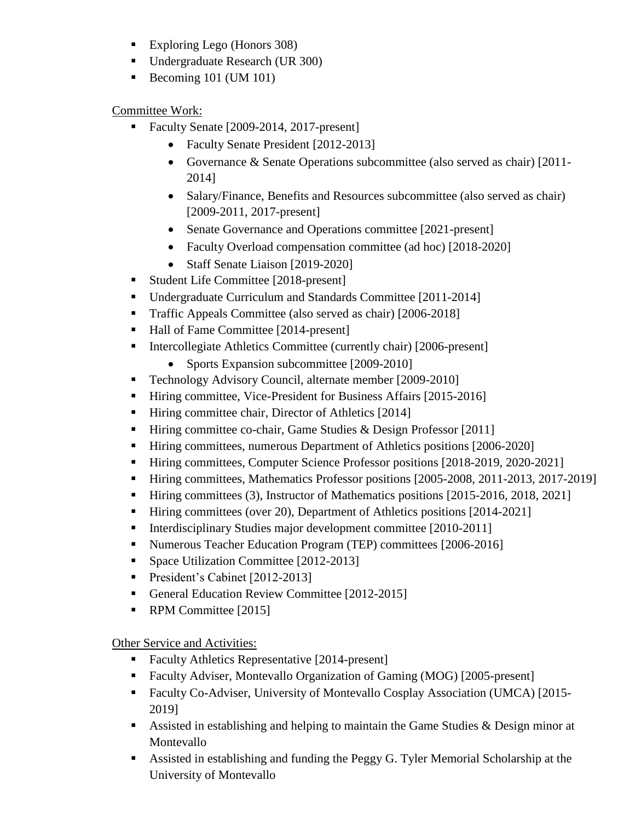- Exploring Lego (Honors 308)
- Undergraduate Research (UR 300)
- $\blacksquare$  Becoming 101 (UM 101)

Committee Work:

- Faculty Senate [2009-2014, 2017-present]
	- Faculty Senate President [2012-2013]
	- Governance & Senate Operations subcommittee (also served as chair) [2011- 2014]
	- Salary/Finance, Benefits and Resources subcommittee (also served as chair) [2009-2011, 2017-present]
	- Senate Governance and Operations committee [2021-present]
	- Faculty Overload compensation committee (ad hoc) [2018-2020]
	- Staff Senate Liaison [2019-2020]
- Student Life Committee [2018-present]
- Undergraduate Curriculum and Standards Committee [2011-2014]
- Traffic Appeals Committee (also served as chair) [2006-2018]
- Hall of Fame Committee [2014-present]
- Intercollegiate Athletics Committee (currently chair) [2006-present]
	- Sports Expansion subcommittee [2009-2010]
- Technology Advisory Council, alternate member [2009-2010]
- Hiring committee, Vice-President for Business Affairs [2015-2016]
- Hiring committee chair, Director of Athletics [2014]
- Hiring committee co-chair, Game Studies & Design Professor [2011]
- Hiring committees, numerous Department of Athletics positions [2006-2020]
- Hiring committees, Computer Science Professor positions [2018-2019, 2020-2021]
- Hiring committees, Mathematics Professor positions [2005-2008, 2011-2013, 2017-2019]
- Hiring committees (3), Instructor of Mathematics positions [2015-2016, 2018, 2021]
- Hiring committees (over 20), Department of Athletics positions [2014-2021]
- Interdisciplinary Studies major development committee [2010-2011]
- Numerous Teacher Education Program (TEP) committees [2006-2016]
- **•** Space Utilization Committee [2012-2013]
- President's Cabinet [2012-2013]
- General Education Review Committee [2012-2015]
- RPM Committee [2015]

Other Service and Activities:

- Faculty Athletics Representative [2014-present]
- Faculty Adviser, Montevallo Organization of Gaming (MOG) [2005-present]
- Faculty Co-Adviser, University of Montevallo Cosplay Association (UMCA) [2015- 2019]
- Assisted in establishing and helping to maintain the Game Studies & Design minor at Montevallo
- Assisted in establishing and funding the Peggy G. Tyler Memorial Scholarship at the University of Montevallo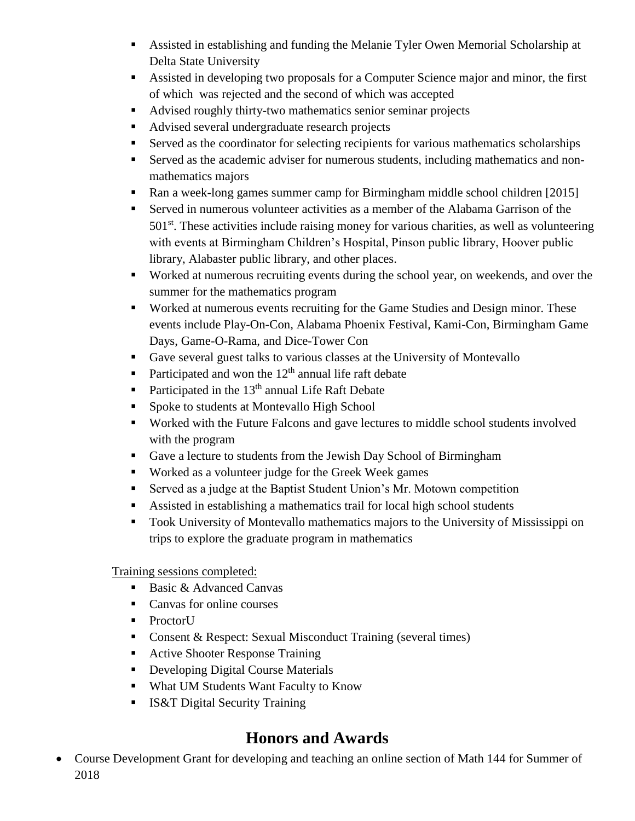- Assisted in establishing and funding the Melanie Tyler Owen Memorial Scholarship at Delta State University
- Assisted in developing two proposals for a Computer Science major and minor, the first of which was rejected and the second of which was accepted
- Advised roughly thirty-two mathematics senior seminar projects
- Advised several undergraduate research projects
- Served as the coordinator for selecting recipients for various mathematics scholarships
- Served as the academic adviser for numerous students, including mathematics and nonmathematics majors
- Ran a week-long games summer camp for Birmingham middle school children [2015]
- Served in numerous volunteer activities as a member of the Alabama Garrison of the  $501<sup>st</sup>$ . These activities include raising money for various charities, as well as volunteering with events at Birmingham Children's Hospital, Pinson public library, Hoover public library, Alabaster public library, and other places.
- Worked at numerous recruiting events during the school year, on weekends, and over the summer for the mathematics program
- Worked at numerous events recruiting for the Game Studies and Design minor. These events include Play-On-Con, Alabama Phoenix Festival, Kami-Con, Birmingham Game Days, Game-O-Rama, and Dice-Tower Con
- Gave several guest talks to various classes at the University of Montevallo
- Participated and won the  $12<sup>th</sup>$  annual life raft debate
- **•** Participated in the  $13<sup>th</sup>$  annual Life Raft Debate
- Spoke to students at Montevallo High School
- Worked with the Future Falcons and gave lectures to middle school students involved with the program
- Gave a lecture to students from the Jewish Day School of Birmingham
- Worked as a volunteer judge for the Greek Week games
- Served as a judge at the Baptist Student Union's Mr. Motown competition
- Assisted in establishing a mathematics trail for local high school students
- Took University of Montevallo mathematics majors to the University of Mississippi on trips to explore the graduate program in mathematics

Training sessions completed:

- Basic & Advanced Canvas
- Canvas for online courses
- ProctorU
- Consent & Respect: Sexual Misconduct Training (several times)
- Active Shooter Response Training
- Developing Digital Course Materials
- What UM Students Want Faculty to Know
- IS&T Digital Security Training

### **Honors and Awards**

• Course Development Grant for developing and teaching an online section of Math 144 for Summer of 2018